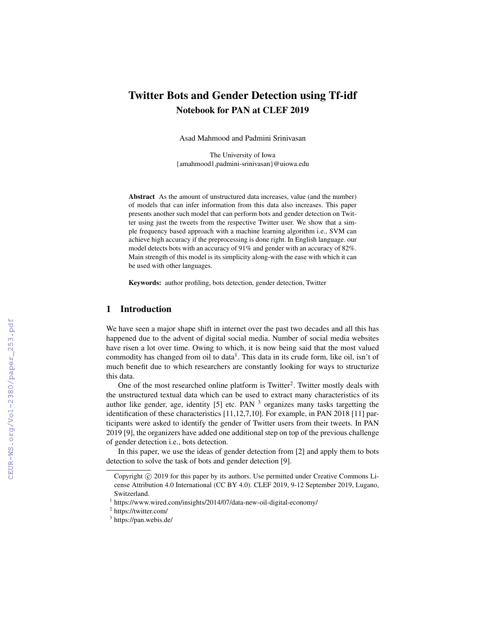# Twitter Bots and Gender Detection using Tf-idf Notebook for PAN at CLEF 2019

Asad Mahmood and Padmini Srinivasan

The University of Iowa {amahmood1,padmini-srinivasan}@uiowa.edu

Abstract As the amount of unstructured data increases, value (and the number) of models that can infer information from this data also increases. This paper presents another such model that can perform bots and gender detection on Twitter using just the tweets from the respective Twitter user. We show that a simple frequency based approach with a machine learning algorithm i.e., SVM can achieve high accuracy if the preprocessing is done right. In English language. our model detects bots with an accuracy of 91% and gender with an accuracy of 82%. Main strength of this model is its simplicity along-with the ease with which it can be used with other languages.

Keywords: author profiling, bots detection, gender detection, Twitter

# 1 Introduction

We have seen a major shape shift in internet over the past two decades and all this has happened due to the advent of digital social media. Number of social media websites have risen a lot over time. Owing to which, it is now being said that the most valued commodity has changed from oil to data<sup>1</sup>. This data in its crude form, like oil, isn't of much benefit due to which researchers are constantly looking for ways to structurize this data.

One of the most researched online platform is Twitter<sup>2</sup>. Twitter mostly deals with the unstructured textual data which can be used to extract many characteristics of its author like gender, age, identity  $[5]$  etc. PAN  $^3$  organizes many tasks targetting the identification of these characteristics [11,12,7,10]. For example, in PAN 2018 [11] participants were asked to identify the gender of Twitter users from their tweets. In PAN 2019 [9], the organizers have added one additional step on top of the previous challenge of gender detection i.e., bots detection.

In this paper, we use the ideas of gender detection from [2] and apply them to bots detection to solve the task of bots and gender detection [9].

Copyright (c) 2019 for this paper by its authors. Use permitted under Creative Commons License Attribution 4.0 International (CC BY 4.0). CLEF 2019, 9-12 September 2019, Lugano, Switzerland.

<sup>1</sup> https://www.wired.com/insights/2014/07/data-new-oil-digital-economy/

<sup>&</sup>lt;sup>2</sup> https://twitter.com/

<sup>&</sup>lt;sup>3</sup> https://pan.webis.de/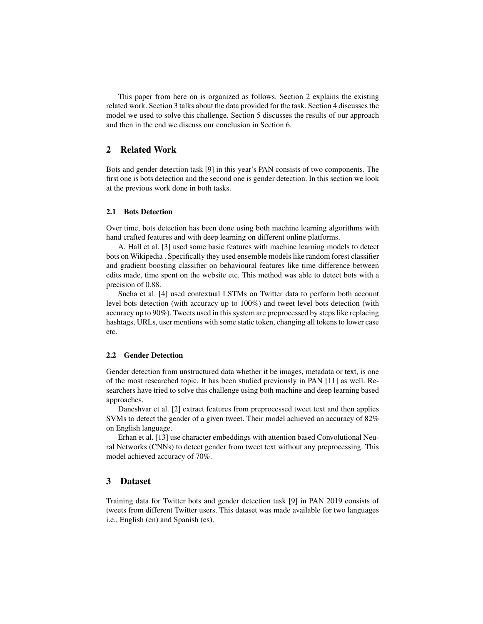This paper from here on is organized as follows. Section 2 explains the existing related work. Section 3 talks about the data provided for the task. Section 4 discusses the model we used to solve this challenge. Section 5 discusses the results of our approach and then in the end we discuss our conclusion in Section 6.

# 2 Related Work

Bots and gender detection task [9] in this year's PAN consists of two components. The first one is bots detection and the second one is gender detection. In this section we look at the previous work done in both tasks.

#### 2.1 Bots Detection

Over time, bots detection has been done using both machine learning algorithms with hand crafted features and with deep learning on different online platforms.

A. Hall et al. [3] used some basic features with machine learning models to detect bots on Wikipedia . Specifically they used ensemble models like random forest classifier and gradient boosting classifier on behavioural features like time difference between edits made, time spent on the website etc. This method was able to detect bots with a precision of 0.88.

Sneha et al. [4] used contextual LSTMs on Twitter data to perform both account level bots detection (with accuracy up to 100%) and tweet level bots detection (with accuracy up to 90%). Tweets used in this system are preprocessed by steps like replacing hashtags, URLs, user mentions with some static token, changing all tokens to lower case etc.

#### 2.2 Gender Detection

Gender detection from unstructured data whether it be images, metadata or text, is one of the most researched topic. It has been studied previously in PAN [11] as well. Researchers have tried to solve this challenge using both machine and deep learning based approaches.

Daneshvar et al. [2] extract features from preprocessed tweet text and then applies SVMs to detect the gender of a given tweet. Their model achieved an accuracy of 82% on English language.

Erhan et al. [13] use character embeddings with attention based Convolutional Neural Networks (CNNs) to detect gender from tweet text without any preprocessing. This model achieved accuracy of 70%.

# 3 Dataset

Training data for Twitter bots and gender detection task [9] in PAN 2019 consists of tweets from different Twitter users. This dataset was made available for two languages i.e., English (en) and Spanish (es).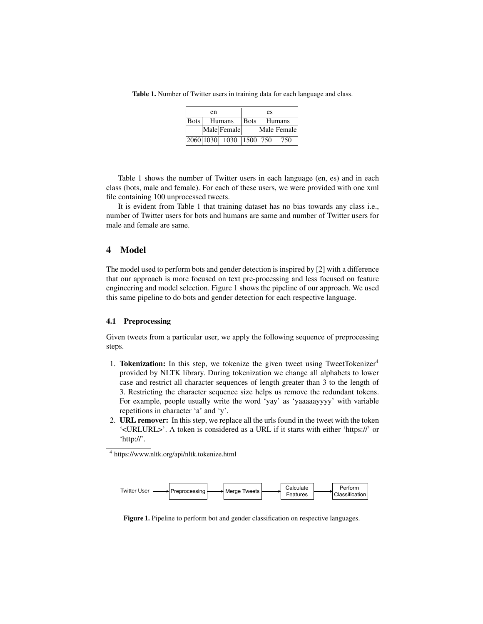Table 1. Number of Twitter users in training data for each language and class.

|      | en |                         | es   |        |             |  |
|------|----|-------------------------|------|--------|-------------|--|
| Bots |    | Humans                  | Bots | Humans |             |  |
|      |    | Male Female             |      |        | Male Female |  |
|      |    | 2060 1030 1030 1500 750 |      |        | 750         |  |

Table 1 shows the number of Twitter users in each language (en, es) and in each class (bots, male and female). For each of these users, we were provided with one xml file containing 100 unprocessed tweets.

It is evident from Table 1 that training dataset has no bias towards any class i.e., number of Twitter users for bots and humans are same and number of Twitter users for male and female are same.

#### 4 Model

The model used to perform bots and gender detection is inspired by [2] with a difference that our approach is more focused on text pre-processing and less focused on feature engineering and model selection. Figure 1 shows the pipeline of our approach. We used this same pipeline to do bots and gender detection for each respective language.

#### 4.1 Preprocessing

Given tweets from a particular user, we apply the following sequence of preprocessing steps.

- 1. Tokenization: In this step, we tokenize the given tweet using TweetTokenizer<sup>4</sup> provided by NLTK library. During tokenization we change all alphabets to lower case and restrict all character sequences of length greater than 3 to the length of 3. Restricting the character sequence size helps us remove the redundant tokens. For example, people usually write the word 'yay' as 'yaaaaayyyy' with variable repetitions in character 'a' and 'y'.
- 2. URL remover: In this step, we replace all the urls found in the tweet with the token '<URLURL>'. A token is considered as a URL if it starts with either 'https://' or 'http://'.

<sup>4</sup> https://www.nltk.org/api/nltk.tokenize.html



Figure 1. Pipeline to perform bot and gender classification on respective languages.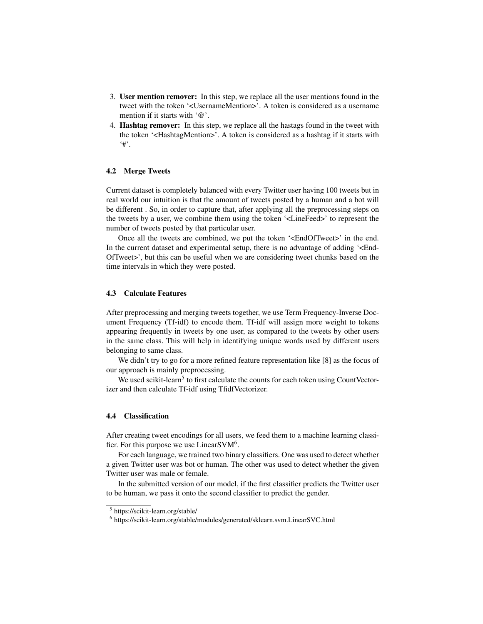- 3. User mention remover: In this step, we replace all the user mentions found in the tweet with the token '<UsernameMention>'. A token is considered as a username mention if it starts with '@'.
- 4. Hashtag remover: In this step, we replace all the hastags found in the tweet with the token '<HashtagMention>'. A token is considered as a hashtag if it starts with '#'.

#### 4.2 Merge Tweets

Current dataset is completely balanced with every Twitter user having 100 tweets but in real world our intuition is that the amount of tweets posted by a human and a bot will be different . So, in order to capture that, after applying all the preprocessing steps on the tweets by a user, we combine them using the token '<LineFeed>' to represent the number of tweets posted by that particular user.

Once all the tweets are combined, we put the token '<EndOfTweet>' in the end. In the current dataset and experimental setup, there is no advantage of adding '<End-OfTweet>', but this can be useful when we are considering tweet chunks based on the time intervals in which they were posted.

#### 4.3 Calculate Features

After preprocessing and merging tweets together, we use Term Frequency-Inverse Document Frequency (Tf-idf) to encode them. Tf-idf will assign more weight to tokens appearing frequently in tweets by one user, as compared to the tweets by other users in the same class. This will help in identifying unique words used by different users belonging to same class.

We didn't try to go for a more refined feature representation like [8] as the focus of our approach is mainly preprocessing.

We used scikit-learn<sup>5</sup> to first calculate the counts for each token using CountVectorizer and then calculate Tf-idf using TfidfVectorizer.

#### 4.4 Classification

After creating tweet encodings for all users, we feed them to a machine learning classifier. For this purpose we use Linear SVM $<sup>6</sup>$ .</sup>

For each language, we trained two binary classifiers. One was used to detect whether a given Twitter user was bot or human. The other was used to detect whether the given Twitter user was male or female.

In the submitted version of our model, if the first classifier predicts the Twitter user to be human, we pass it onto the second classifier to predict the gender.

<sup>5</sup> https://scikit-learn.org/stable/

<sup>6</sup> https://scikit-learn.org/stable/modules/generated/sklearn.svm.LinearSVC.html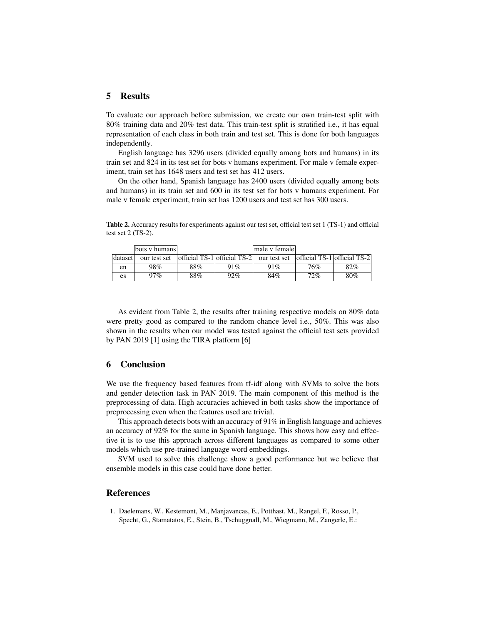# 5 Results

To evaluate our approach before submission, we create our own train-test split with 80% training data and 20% test data. This train-test split is stratified i.e., it has equal representation of each class in both train and test set. This is done for both languages independently.

English language has 3296 users (divided equally among bots and humans) in its train set and 824 in its test set for bots v humans experiment. For male v female experiment, train set has 1648 users and test set has 412 users.

On the other hand, Spanish language has 2400 users (divided equally among bots and humans) in its train set and 600 in its test set for bots v humans experiment. For male v female experiment, train set has 1200 users and test set has 300 users.

|         | bots y humans |     |     | male y female                                        |     |                               |
|---------|---------------|-----|-----|------------------------------------------------------|-----|-------------------------------|
| dataset | our test set  |     |     | $ $ official TS-1 $ $ official TS-2 $ $ our test set |     | official TS-1   official TS-2 |
| en      | 98%           | 88% | 91% | 91%                                                  | 76% | 82%                           |
| es      | 97%           | 88% | 92% | 84%                                                  | 72% | 80%                           |

Table 2. Accuracy results for experiments against our test set, official test set 1 (TS-1) and official test set 2 (TS-2).

As evident from Table 2, the results after training respective models on 80% data were pretty good as compared to the random chance level i.e., 50%. This was also shown in the results when our model was tested against the official test sets provided by PAN 2019 [1] using the TIRA platform [6]

# 6 Conclusion

We use the frequency based features from tf-idf along with SVMs to solve the bots and gender detection task in PAN 2019. The main component of this method is the preprocessing of data. High accuracies achieved in both tasks show the importance of preprocessing even when the features used are trivial.

This approach detects bots with an accuracy of  $91\%$  in English language and achieves an accuracy of 92% for the same in Spanish language. This shows how easy and effective it is to use this approach across different languages as compared to some other models which use pre-trained language word embeddings.

SVM used to solve this challenge show a good performance but we believe that ensemble models in this case could have done better.

### References

1. Daelemans, W., Kestemont, M., Manjavancas, E., Potthast, M., Rangel, F., Rosso, P., Specht, G., Stamatatos, E., Stein, B., Tschuggnall, M., Wiegmann, M., Zangerle, E.: